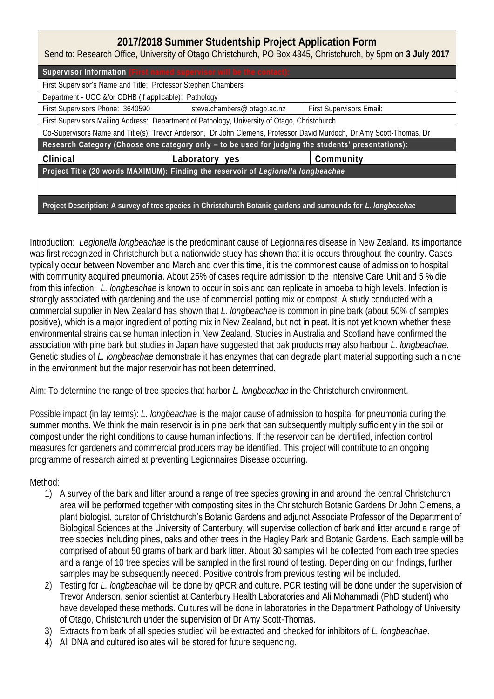| 2017/2018 Summer Studentship Project Application Form<br>Send to: Research Office, University of Otago Christchurch, PO Box 4345, Christchurch, by 5pm on 3 July 2017 |                                                              |                          |  |
|-----------------------------------------------------------------------------------------------------------------------------------------------------------------------|--------------------------------------------------------------|--------------------------|--|
| Supervisor Information (First named supervisor will be the contact):                                                                                                  |                                                              |                          |  |
| First Supervisor's Name and Title: Professor Stephen Chambers                                                                                                         |                                                              |                          |  |
| Department - UOC &/or CDHB (if applicable): Pathology                                                                                                                 |                                                              |                          |  |
|                                                                                                                                                                       | First Supervisors Phone: 3640590 steve.chambers@ otago.ac.nz | First Supervisors Email: |  |
| First Supervisors Mailing Address: Department of Pathology, University of Otago, Christchurch                                                                         |                                                              |                          |  |
| Co-Supervisors Name and Title(s): Trevor Anderson, Dr John Clemens, Professor David Murdoch, Dr Amy Scott-Thomas, Dr                                                  |                                                              |                          |  |
| Research Category (Choose one category only - to be used for judging the students' presentations):                                                                    |                                                              |                          |  |
| Clinical                                                                                                                                                              | Laboratory yes                                               | Community                |  |
| Project Title (20 words MAXIMUM): Finding the reservoir of Legionella longbeachae                                                                                     |                                                              |                          |  |
|                                                                                                                                                                       |                                                              |                          |  |
| Project Description: A survey of tree species in Christchurch Botanic gardens and surrounds for L. longbeachae                                                        |                                                              |                          |  |

Introduction: *Legionella longbeachae* is the predominant cause of Legionnaires disease in New Zealand. Its importance was first recognized in Christchurch but a nationwide study has shown that it is occurs throughout the country. Cases typically occur between November and March and over this time, it is the commonest cause of admission to hospital with community acquired pneumonia. About 25% of cases require admission to the Intensive Care Unit and 5 % die from this infection. *L. longbeachae* is known to occur in soils and can replicate in amoeba to high levels. Infection is strongly associated with gardening and the use of commercial potting mix or compost. A study conducted with a commercial supplier in New Zealand has shown that *L. longbeachae* is common in pine bark (about 50% of samples positive), which is a major ingredient of potting mix in New Zealand, but not in peat. It is not yet known whether these environmental strains cause human infection in New Zealand. Studies in Australia and Scotland have confirmed the association with pine bark but studies in Japan have suggested that oak products may also harbour *L. longbeachae*. Genetic studies of *L. longbeachae* demonstrate it has enzymes that can degrade plant material supporting such a niche in the environment but the major reservoir has not been determined.

Aim: To determine the range of tree species that harbor *L. longbeachae* in the Christchurch environment.

Possible impact (in lay terms): *L. longbeachae* is the major cause of admission to hospital for pneumonia during the summer months. We think the main reservoir is in pine bark that can subsequently multiply sufficiently in the soil or compost under the right conditions to cause human infections. If the reservoir can be identified, infection control measures for gardeners and commercial producers may be identified. This project will contribute to an ongoing programme of research aimed at preventing Legionnaires Disease occurring.

Method:

- 1) A survey of the bark and litter around a range of tree species growing in and around the central Christchurch area will be performed together with composting sites in the Christchurch Botanic Gardens Dr John Clemens, a plant biologist, curator of Christchurch's Botanic Gardens and adjunct Associate Professor of the Department of Biological Sciences at the University of Canterbury, will supervise collection of bark and litter around a range of tree species including pines, oaks and other trees in the Hagley Park and Botanic Gardens. Each sample will be comprised of about 50 grams of bark and bark litter. About 30 samples will be collected from each tree species and a range of 10 tree species will be sampled in the first round of testing. Depending on our findings, further samples may be subsequently needed. Positive controls from previous testing will be included.
- 2) Testing for *L. longbeachae* will be done by qPCR and culture. PCR testing will be done under the supervision of Trevor Anderson, senior scientist at Canterbury Health Laboratories and Ali Mohammadi (PhD student) who have developed these methods. Cultures will be done in laboratories in the Department Pathology of University of Otago, Christchurch under the supervision of Dr Amy Scott-Thomas.
- 3) Extracts from bark of all species studied will be extracted and checked for inhibitors of *L. longbeachae*.
- 4) All DNA and cultured isolates will be stored for future sequencing.